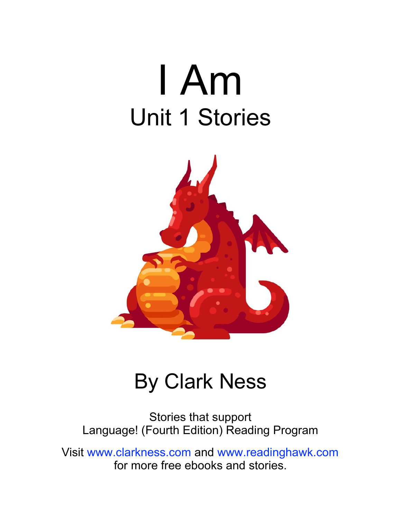



#### By Clark Ness

Stories that support Language! (Fourth Edition) Reading Program

Visit [www.clarkness.com](http://www.clarkness.com) and [www.readinghawk.com](http://www.readinghawk.com) for more free ebooks and stories.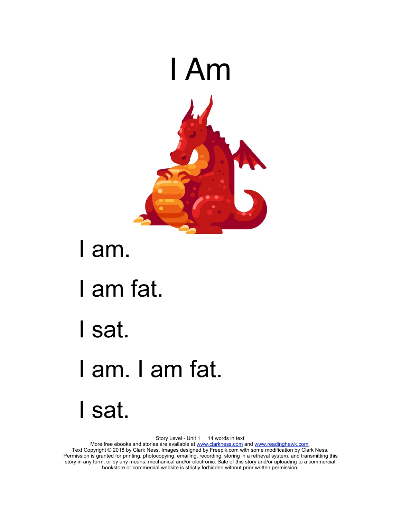

#### I am.

- I am fat.
- I sat.
- I am. I am fat.
- I sat.

Story Level - Unit 1 14 words in text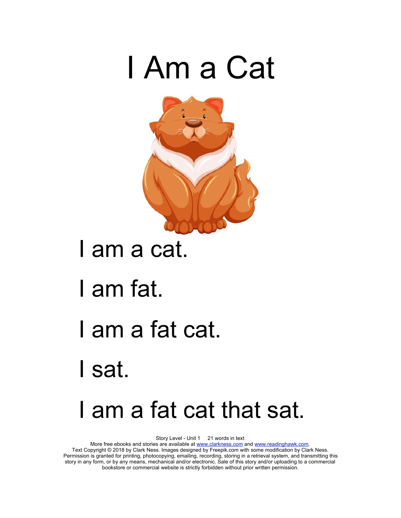



#### I am a cat.

- I am fat.
- I am a fat cat.
- I sat.

## I am a fat cat that sat.

Story Level - Unit 1 21 words in text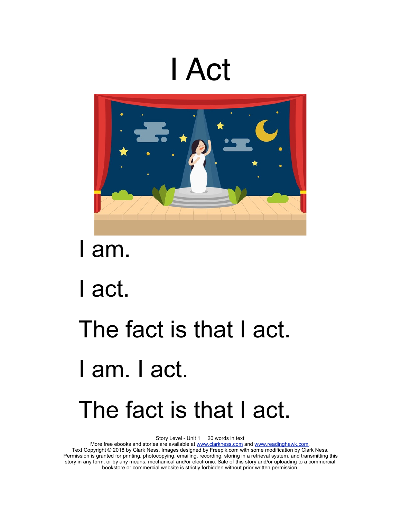## I Act



I am.

I act.

## The fact is that I act. I am. I act. The fact is that I act.

Story Level - Unit 1 20 words in text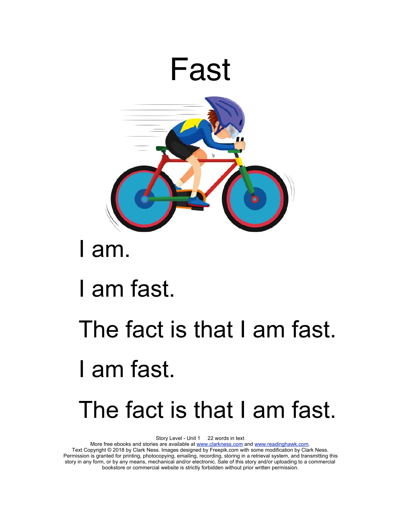

## I am.

## I am fast.

## The fact is that I am fast. I am fast. The fact is that I am fast.

Story Level - Unit 1 22 words in text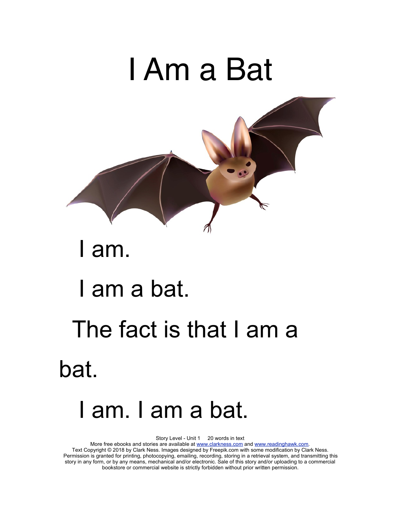# I Am a Bat I am. I am a bat.

# The fact is that I am a bat.

## I am. I am a bat.

Story Level - Unit 1 20 words in text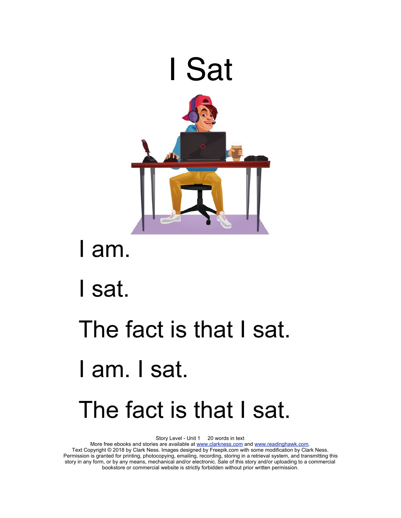

I am.

I sat.

## The fact is that I sat. I am. I sat. The fact is that I sat.

Story Level - Unit 1 20 words in text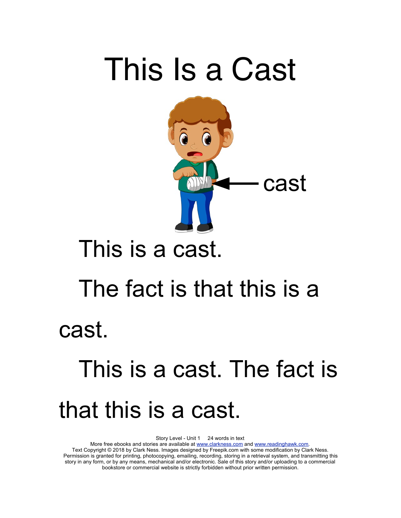## This Is a Cast



## This is a cast.

## The fact is that this is a cast.

## This is a cast. The fact is that this is a cast.

Story Level - Unit 1 24 words in text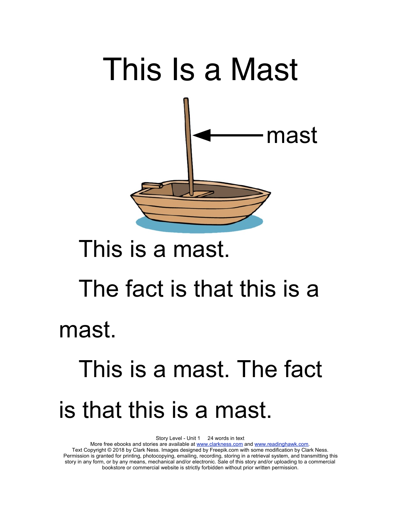

## This is a mast.

# The fact is that this is a

mast.

## This is a mast. The fact is that this is a mast.

Story Level - Unit 1 24 words in text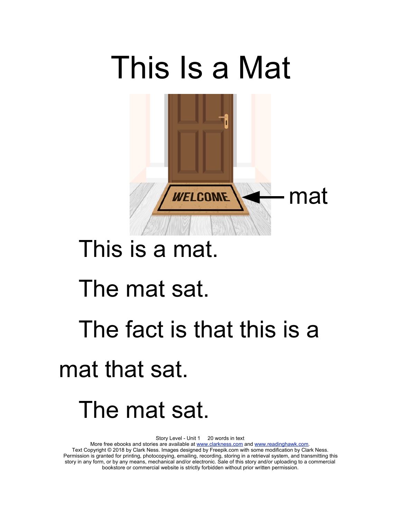

## This is a mat.

#### The mat sat.

# The fact is that this is a

#### mat that sat.

## The mat sat.

Story Level - Unit 1 20 words in text